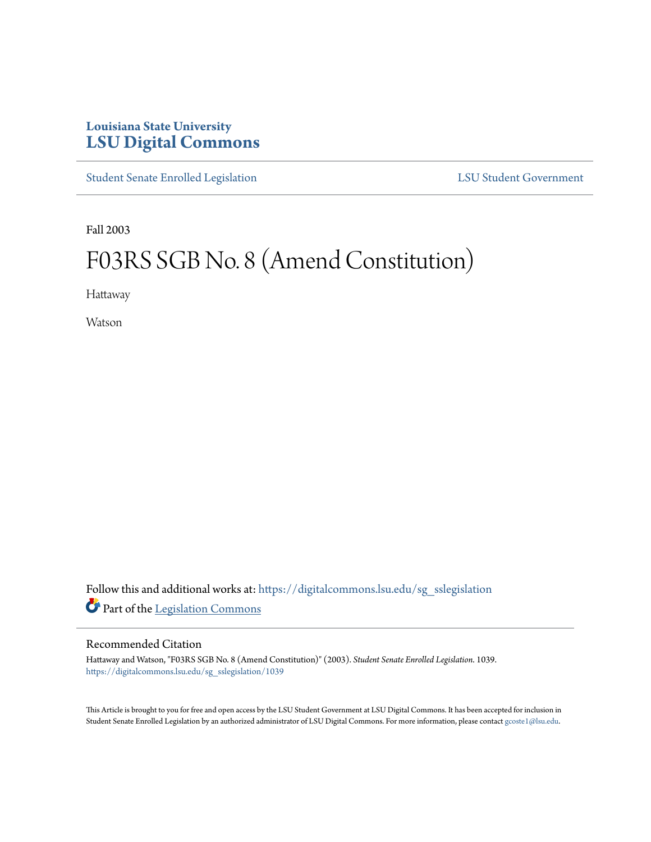## **Louisiana State University [LSU Digital Commons](https://digitalcommons.lsu.edu?utm_source=digitalcommons.lsu.edu%2Fsg_sslegislation%2F1039&utm_medium=PDF&utm_campaign=PDFCoverPages)**

[Student Senate Enrolled Legislation](https://digitalcommons.lsu.edu/sg_sslegislation?utm_source=digitalcommons.lsu.edu%2Fsg_sslegislation%2F1039&utm_medium=PDF&utm_campaign=PDFCoverPages) [LSU Student Government](https://digitalcommons.lsu.edu/sg?utm_source=digitalcommons.lsu.edu%2Fsg_sslegislation%2F1039&utm_medium=PDF&utm_campaign=PDFCoverPages)

Fall 2003

# F03RS SGB No. 8 (Amend Constitution)

Hattaway

Watson

Follow this and additional works at: [https://digitalcommons.lsu.edu/sg\\_sslegislation](https://digitalcommons.lsu.edu/sg_sslegislation?utm_source=digitalcommons.lsu.edu%2Fsg_sslegislation%2F1039&utm_medium=PDF&utm_campaign=PDFCoverPages) Part of the [Legislation Commons](http://network.bepress.com/hgg/discipline/859?utm_source=digitalcommons.lsu.edu%2Fsg_sslegislation%2F1039&utm_medium=PDF&utm_campaign=PDFCoverPages)

#### Recommended Citation

Hattaway and Watson, "F03RS SGB No. 8 (Amend Constitution)" (2003). *Student Senate Enrolled Legislation*. 1039. [https://digitalcommons.lsu.edu/sg\\_sslegislation/1039](https://digitalcommons.lsu.edu/sg_sslegislation/1039?utm_source=digitalcommons.lsu.edu%2Fsg_sslegislation%2F1039&utm_medium=PDF&utm_campaign=PDFCoverPages)

This Article is brought to you for free and open access by the LSU Student Government at LSU Digital Commons. It has been accepted for inclusion in Student Senate Enrolled Legislation by an authorized administrator of LSU Digital Commons. For more information, please contact [gcoste1@lsu.edu.](mailto:gcoste1@lsu.edu)